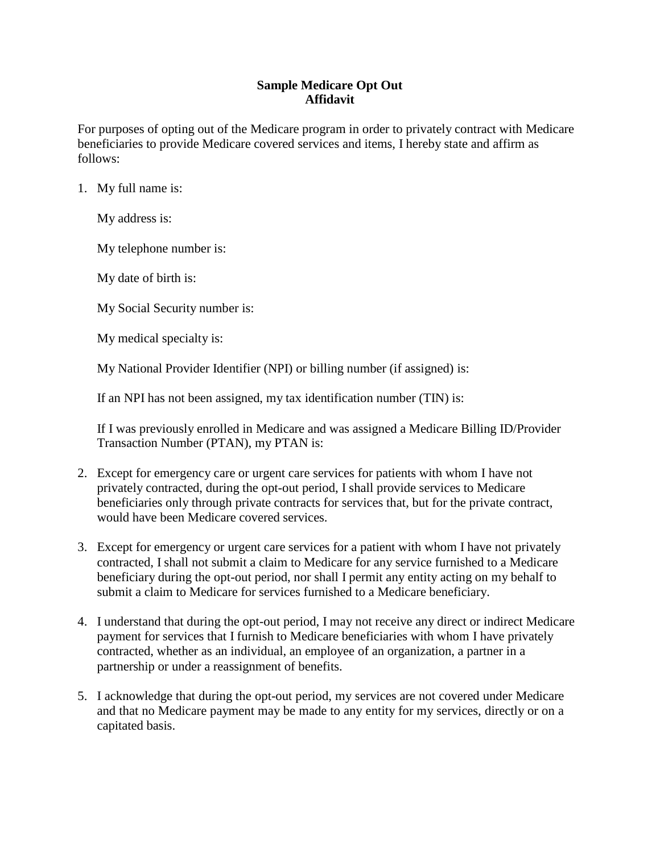## **Sample Medicare Opt Out Affidavit**

For purposes of opting out of the Medicare program in order to privately contract with Medicare beneficiaries to provide Medicare covered services and items, I hereby state and affirm as follows:

1. My full name is:

My address is:

My telephone number is:

My date of birth is:

- My Social Security number is:
- My medical specialty is:

My National Provider Identifier (NPI) or billing number (if assigned) is:

If an NPI has not been assigned, my tax identification number (TIN) is:

If I was previously enrolled in Medicare and was assigned a Medicare Billing ID/Provider Transaction Number (PTAN), my PTAN is:

- 2. Except for emergency care or urgent care services for patients with whom I have not privately contracted, during the opt-out period, I shall provide services to Medicare beneficiaries only through private contracts for services that, but for the private contract, would have been Medicare covered services.
- 3. Except for emergency or urgent care services for a patient with whom I have not privately contracted, I shall not submit a claim to Medicare for any service furnished to a Medicare beneficiary during the opt-out period, nor shall I permit any entity acting on my behalf to submit a claim to Medicare for services furnished to a Medicare beneficiary.
- 4. I understand that during the opt-out period, I may not receive any direct or indirect Medicare payment for services that I furnish to Medicare beneficiaries with whom I have privately contracted, whether as an individual, an employee of an organization, a partner in a partnership or under a reassignment of benefits.
- 5. I acknowledge that during the opt-out period, my services are not covered under Medicare and that no Medicare payment may be made to any entity for my services, directly or on a capitated basis.